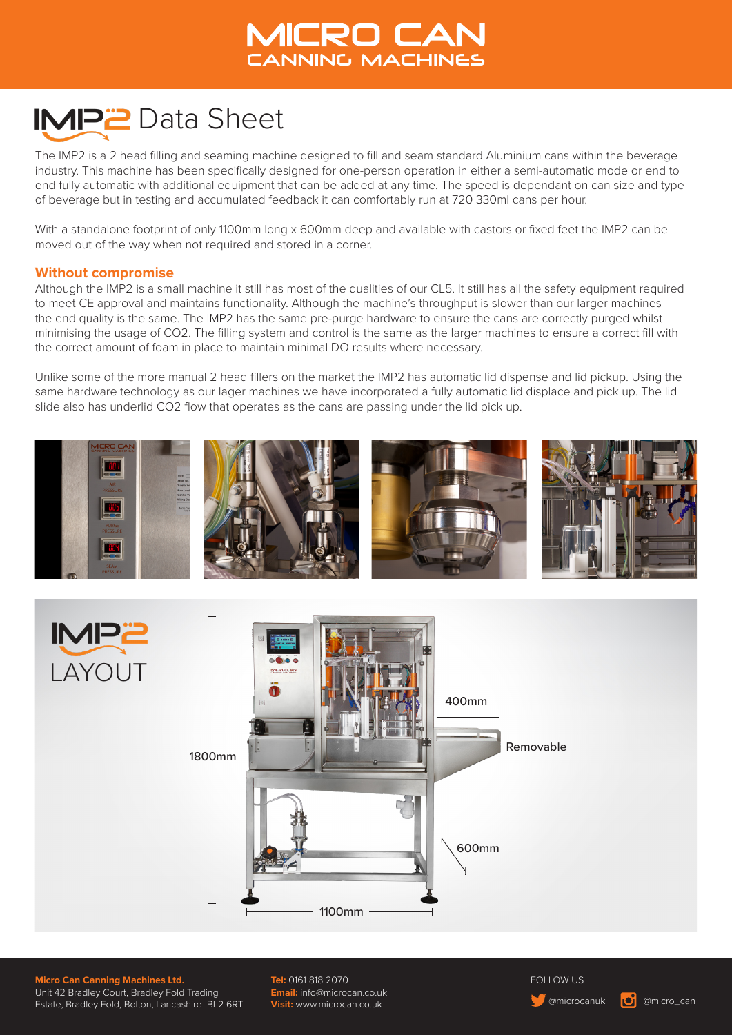# **VICRO CAN CANNING MACHINES**

# **IMP2** Data Sheet

The IMP2 is a 2 head filling and seaming machine designed to fill and seam standard Aluminium cans within the beverage industry. This machine has been specifically designed for one-person operation in either a semi-automatic mode or end to end fully automatic with additional equipment that can be added at any time. The speed is dependant on can size and type of beverage but in testing and accumulated feedback it can comfortably run at 720 330ml cans per hour.

With a standalone footprint of only 1100mm long x 600mm deep and available with castors or fixed feet the IMP2 can be moved out of the way when not required and stored in a corner.

#### **Without compromise**

Although the IMP2 is a small machine it still has most of the qualities of our CL5. It still has all the safety equipment required to meet CE approval and maintains functionality. Although the machine's throughput is slower than our larger machines the end quality is the same. The IMP2 has the same pre-purge hardware to ensure the cans are correctly purged whilst minimising the usage of CO2. The filling system and control is the same as the larger machines to ensure a correct fill with the correct amount of foam in place to maintain minimal DO results where necessary.

Unlike some of the more manual 2 head fillers on the market the IMP2 has automatic lid dispense and lid pickup. Using the same hardware technology as our lager machines we have incorporated a fully automatic lid displace and pick up. The lid slide also has underlid CO2 flow that operates as the cans are passing under the lid pick up.





**Micro Can Canning Machines Ltd.** Unit 42 Bradley Court, Bradley Fold Trading Estate, Bradley Fold, Bolton, Lancashire BL2 6RT **Tel:** 0161 818 2070 **Email:** info@microcan.co.uk **Visit:** www.microcan.co.uk

FOLLOW US

**C** @microcanuk **| O** @micro\_can